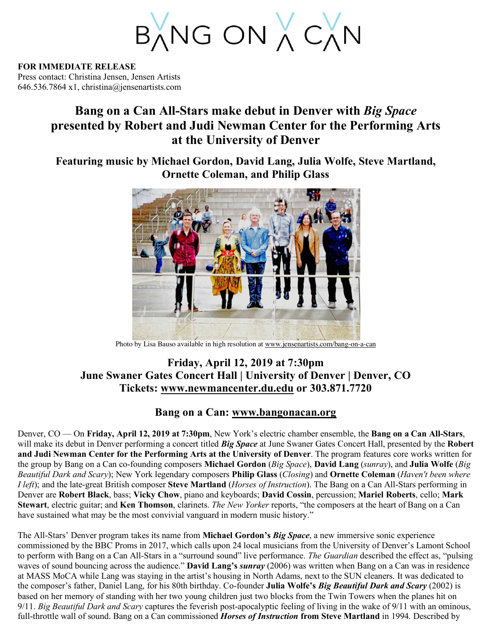BANG ON A CAN

**FOR IMMEDIATE RELEASE** Press contact: Christina Jensen, Jensen Artists 646.536.7864 x1, christina@jensenartists.com

## **Bang on a Can All-Stars make debut in Denver with** *Big Space* **presented by Robert and Judi Newman Center for the Performing Arts at the University of Denver**

**Featuring music by Michael Gordon, David Lang, Julia Wolfe, Steve Martland, Ornette Coleman, and Philip Glass** 



Photo by Lisa Bauso available in high resolution at www.jensenartists.com/bang-on-a-can

## **Friday, April 12, 2019 at 7:30pm June Swaner Gates Concert Hall | University of Denver | Denver, CO Tickets: www.newmancenter.du.edu or 303.871.7720**

## **Bang on a Can: www.bangonacan.org**

Denver, CO — On **Friday, April 12, 2019 at 7:30pm**, New York's electric chamber ensemble, the **Bang on a Can All-Stars**, will make its debut in Denver performing a concert titled *Big Space* at June Swaner Gates Concert Hall, presented by the **Robert and Judi Newman Center for the Performing Arts at the University of Denver**. The program features core works written for the group by Bang on a Can co-founding composers **Michael Gordon** (*Big Space*), **David Lang** (*sunray*), and **Julia Wolfe** (*Big Beautiful Dark and Scary*); New York legendary composers **Philip Glass** (*Closing*) and **Ornette Coleman** (*Haven't been where I left*); and the late-great British composer **Steve Martland** (*Horses of Instruction*). The Bang on a Can All-Stars performing in Denver are **Robert Black**, bass; **Vicky Chow**, piano and keyboards; **David Cossin**, percussion; **Mariel Roberts**, cello; **Mark Stewart**, electric guitar; and **Ken Thomson**, clarinets. *The New Yorker* reports, "the composers at the heart of Bang on a Can have sustained what may be the most convivial vanguard in modern music history."

The All-Stars' Denver program takes its name from **Michael Gordon's** *Big Space*, a new immersive sonic experience commissioned by the BBC Proms in 2017, which calls upon 24 local musicians from the University of Denver's Lamont School to perform with Bang on a Can All-Stars in a "surround sound" live performance. *The Guardian* described the effect as, "pulsing waves of sound bouncing across the audience." **David Lang's** *sunray* (2006) was written when Bang on a Can was in residence at MASS MoCA while Lang was staying in the artist's housing in North Adams, next to the SUN cleaners. It was dedicated to the composer's father, Daniel Lang, for his 80th birthday. Co-founder **Julia Wolfe's** *Big Beautiful Dark and Scary* (2002) is based on her memory of standing with her two young children just two blocks from the Twin Towers when the planes hit on 9/11. *Big Beautiful Dark and Scary* captures the feverish post-apocalyptic feeling of living in the wake of 9/11 with an ominous, full-throttle wall of sound. Bang on a Can commissioned *Horses of Instruction* **from Steve Martland** in 1994. Described by